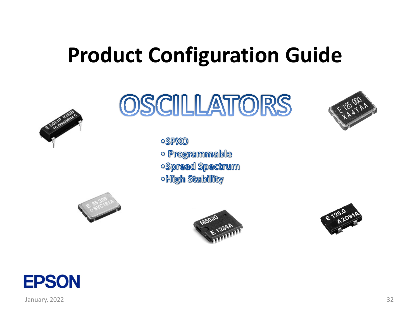# **Product Configuration Guide**



OSCILLATORS

**OSPXO** o Programmable oSpread Spectrum **OHigh Stability** 







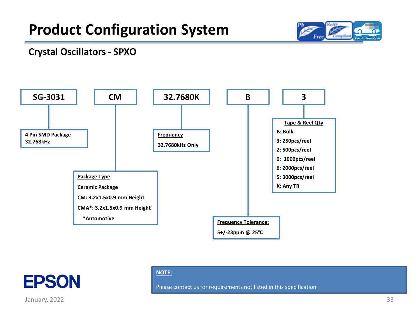

#### **Crystal Oscillators - SPXO**





#### **NOTE:**

Please contact us for requirements not listed in this specification.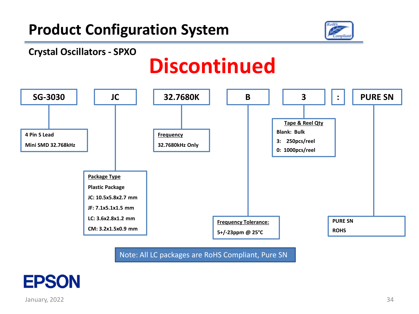

# **Discontinued**



Note: All LC packages are RoHS Compliant, Pure SN

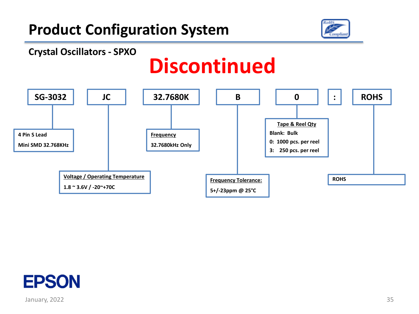



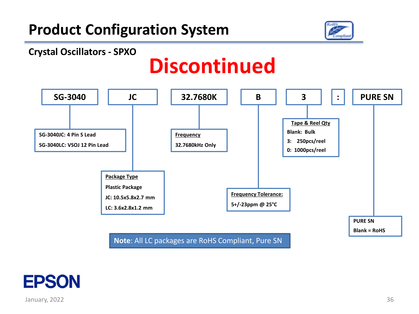



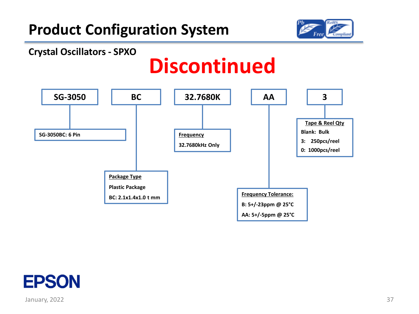



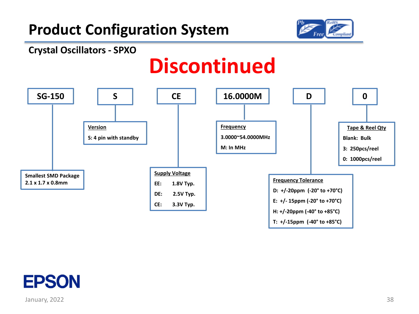



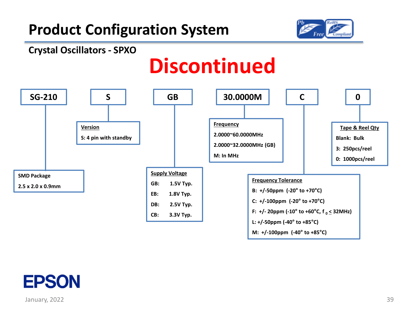



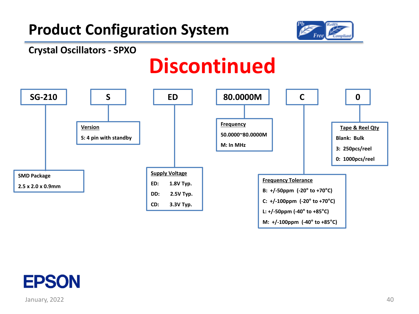



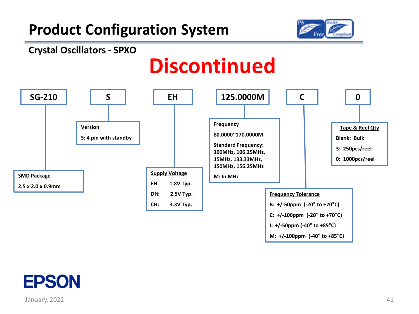

#### **Crystal Oscillators - SPXO**



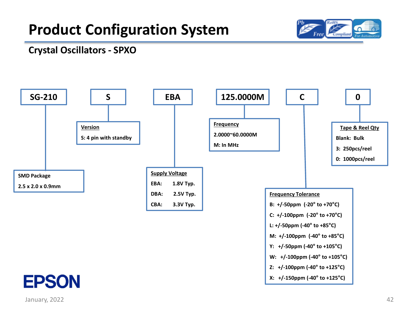

### **Crystal Oscillators - SPXO**

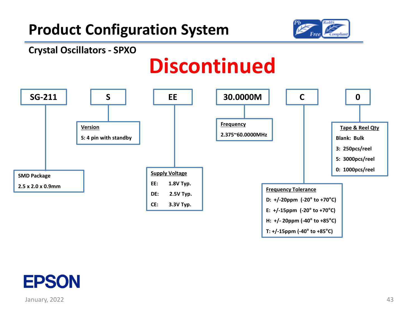

#### **Crystal Oscillators - SPXO**



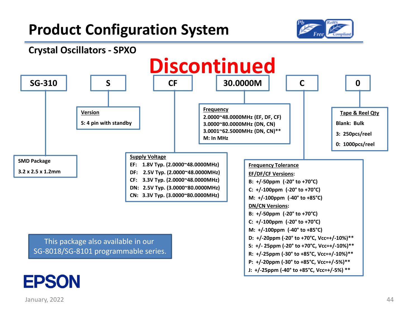



**J: +/-25ppm (-40° to +85°C, Vcc=+/-5%) \*\***

### January, 2022

**EPSON**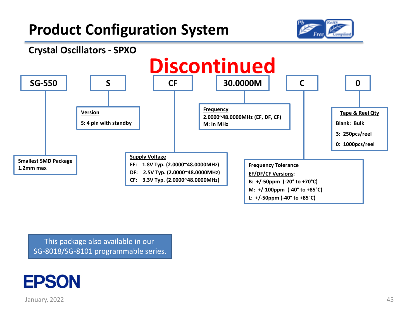



This package also available in our SG-8018/SG-8101 programmable series.

## **EPSON**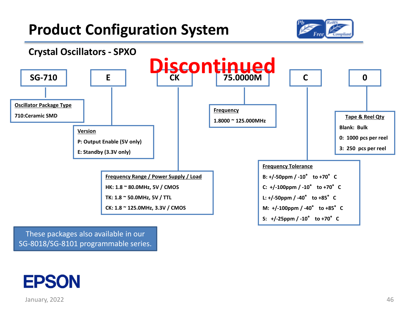



These packages also available in our SG-8018/SG-8101 programmable series.

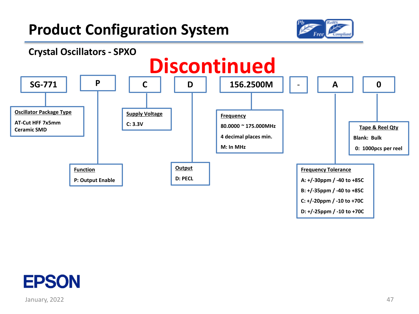



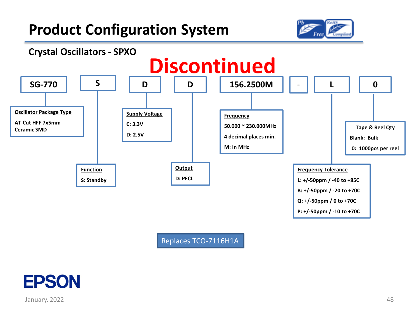



Replaces TCO-7116H1A

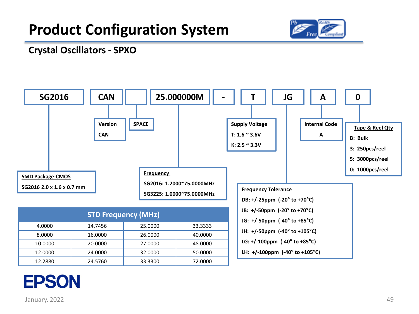

#### **Crystal Oscillators - SPXO**



## **EPSON**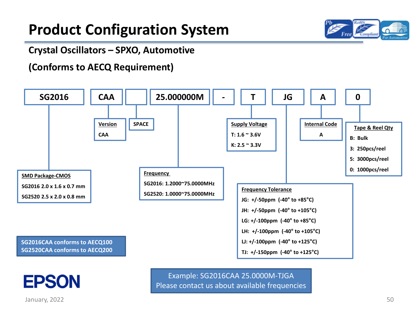

#### **Crystal Oscillators – SPXO, Automotive**

### **(Conforms to AECQ Requirement)**





January, 2022

Example: SG2016CAA 25.0000M-TJGA Please contact us about available frequencies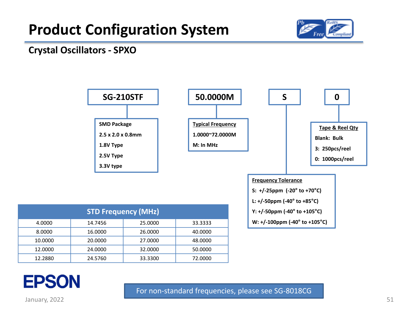

#### **Crystal Oscillators - SPXO**



| <b>STD Frequency (MHz)</b> |         |         |         |
|----------------------------|---------|---------|---------|
| 4.0000                     | 14.7456 | 25,0000 | 33.3333 |
| 8.0000                     | 16.0000 | 26,0000 | 40.0000 |
| 10.0000                    | 20,0000 | 27,0000 | 48.0000 |
| 12.0000                    | 24.0000 | 32,0000 | 50.0000 |
| 12.2880                    | 24.5760 | 33.3300 | 72.0000 |



January, 2022 **51 Stuart Community Control** to the Stuart Community Control of the Stuart Community Control of the Stuart Community Control of the Stuart Community Control of the Stuart Community Control of the Stuart Comm

For non-standard frequencies, please see SG-8018CG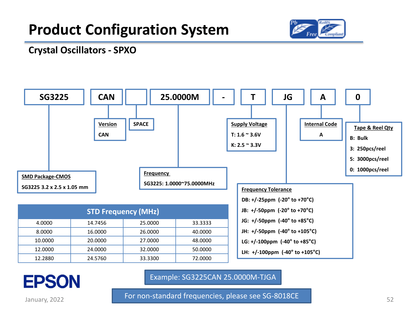

#### **Crystal Oscillators - SPXO**



## **EPSON**

Example: SG3225CAN 25.0000M-TJGA

For non-standard frequencies, please see SG-8018CE

January, 2022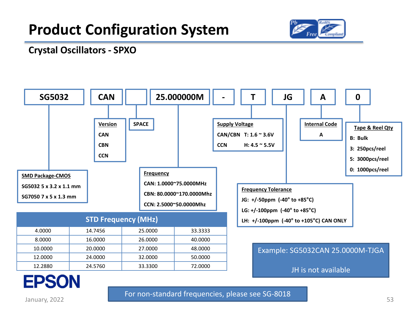

#### **Crystal Oscillators - SPXO**



**EPSON** 

For non-standard frequencies, please see SG-8018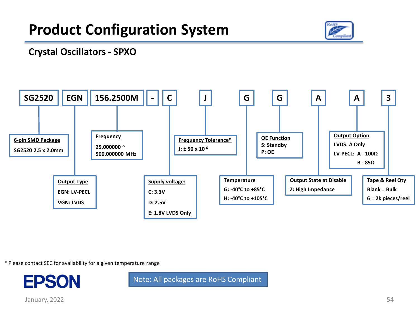

#### **Crystal Oscillators - SPXO**



\* Please contact SEC for availability for a given temperature range



Note: All packages are RoHS Compliant

January, 2022 54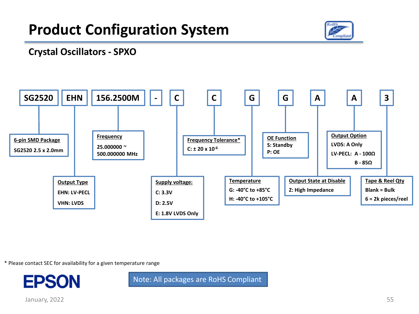

#### **Crystal Oscillators - SPXO**



\* Please contact SEC for availability for a given temperature range



Note: All packages are RoHS Compliant

January, 2022 55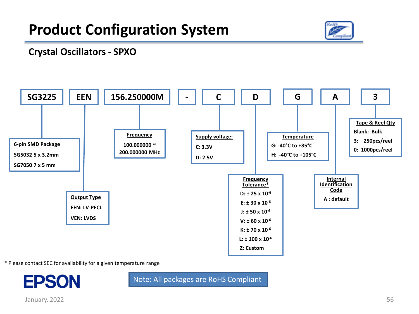

### **Crystal Oscillators - SPXO**



\* Please contact SEC for availability for a given temperature range



Note: All packages are RoHS Compliant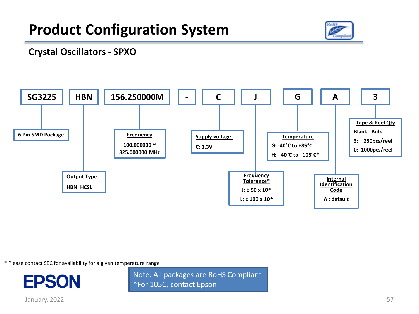

### **Crystal Oscillators - SPXO**



\* Please contact SEC for availability for a given temperature range



Note: All packages are RoHS Compliant \*For 105C, contact Epson

January, 2022 57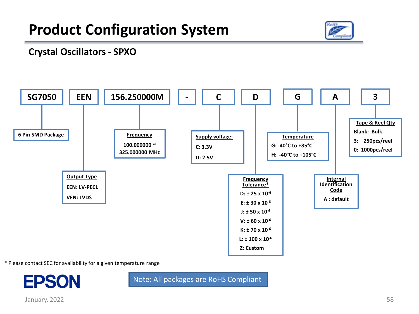

#### **Crystal Oscillators - SPXO**



\* Please contact SEC for availability for a given temperature range



Note: All packages are RoHS Compliant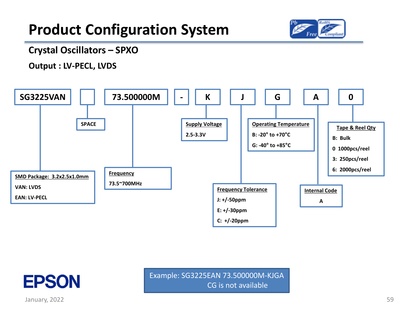

#### **Crystal Oscillators – SPXO**

**Output : LV-PECL, LVDS**





January, 2022

Example: SG3225EAN 73.500000M-KJGA CG is not available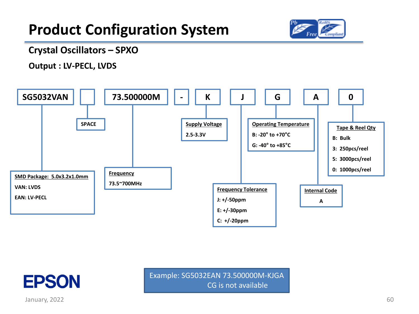

#### **Crystal Oscillators – SPXO**

**Output : LV-PECL, LVDS**





January, 2022

Example: SG5032EAN 73.500000M-KJGA CG is not available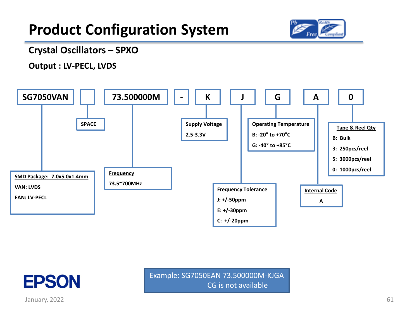

#### **Crystal Oscillators – SPXO**

**Output : LV-PECL, LVDS**





January, 2022

Example: SG7050EAN 73.500000M-KJGA CG is not available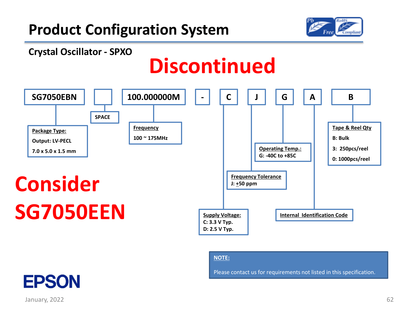

#### **Crystal Oscillator - SPXO**

## **Discontinued**



#### **NOTE:**

Please contact us for requirements not listed in this specification.

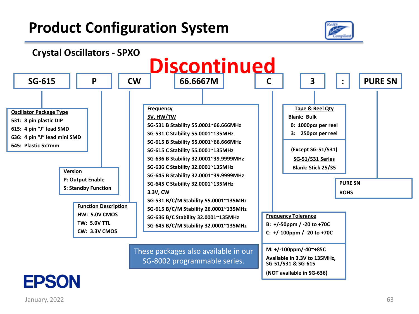

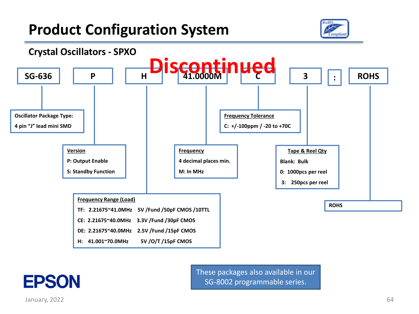



**EPSON** 

These packages also available in our SG-8002 programmable series.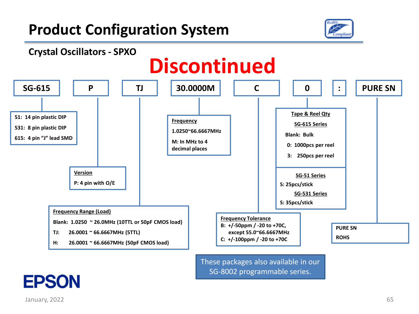

**: PURE SN**





These packages also available in our SG-8002 programmable series.

## **EPSON**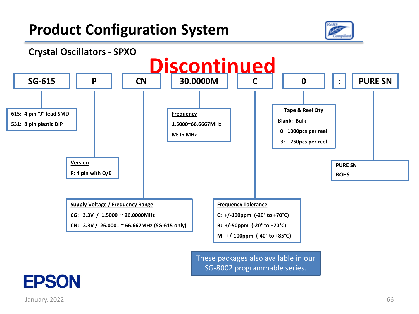



These packages also available in our SG-8002 programmable series.

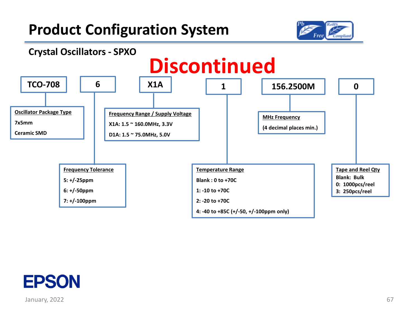



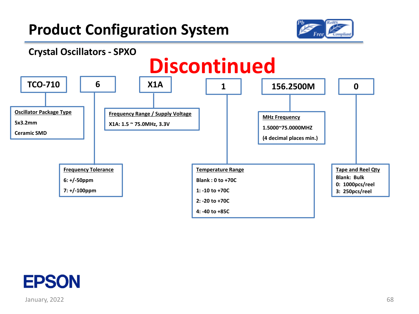